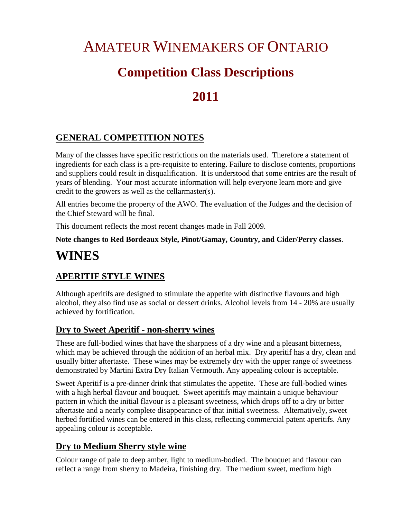# AMATEUR WINEMAKERS OF ONTARIO **Competition Class Descriptions 2011**

# **GENERAL COMPETITION NOTES**

Many of the classes have specific restrictions on the materials used. Therefore a statement of ingredients for each class is a pre-requisite to entering. Failure to disclose contents, proportions and suppliers could result in disqualification. It is understood that some entries are the result of years of blending. Your most accurate information will help everyone learn more and give credit to the growers as well as the cellarmaster(s).

All entries become the property of the AWO. The evaluation of the Judges and the decision of the Chief Steward will be final.

This document reflects the most recent changes made in Fall 2009.

**Note changes to Red Bordeaux Style, Pinot/Gamay, Country, and Cider/Perry classes**.

# **WINES**

### **APERITIF STYLE WINES**

Although aperitifs are designed to stimulate the appetite with distinctive flavours and high alcohol, they also find use as social or dessert drinks. Alcohol levels from 14 - 20% are usually achieved by fortification.

#### **Dry to Sweet Aperitif - non-sherry wines**

These are full-bodied wines that have the sharpness of a dry wine and a pleasant bitterness, which may be achieved through the addition of an herbal mix. Dry aperitif has a dry, clean and usually bitter aftertaste. These wines may be extremely dry with the upper range of sweetness demonstrated by Martini Extra Dry Italian Vermouth. Any appealing colour is acceptable.

Sweet Aperitif is a pre-dinner drink that stimulates the appetite. These are full-bodied wines with a high herbal flavour and bouquet. Sweet aperitifs may maintain a unique behaviour pattern in which the initial flavour is a pleasant sweetness, which drops off to a dry or bitter aftertaste and a nearly complete disappearance of that initial sweetness. Alternatively, sweet herbed fortified wines can be entered in this class, reflecting commercial patent aperitifs. Any appealing colour is acceptable.

### **Dry to Medium Sherry style wine**

Colour range of pale to deep amber, light to medium-bodied. The bouquet and flavour can reflect a range from sherry to Madeira, finishing dry. The medium sweet, medium high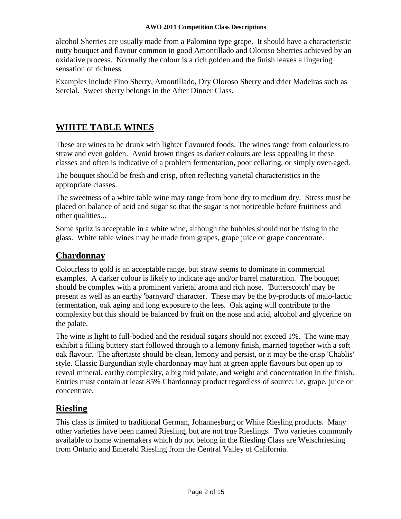alcohol Sherries are usually made from a Palomino type grape. It should have a characteristic nutty bouquet and flavour common in good Amontillado and Oloroso Sherries achieved by an oxidative process. Normally the colour is a rich golden and the finish leaves a lingering sensation of richness.

Examples include Fino Sherry, Amontillado, Dry Oloroso Sherry and drier Madeiras such as Sercial. Sweet sherry belongs in the After Dinner Class.

#### **WHITE TABLE WINES**

These are wines to be drunk with lighter flavoured foods. The wines range from colourless to straw and even golden. Avoid brown tinges as darker colours are less appealing in these classes and often is indicative of a problem fermentation, poor cellaring, or simply over-aged.

The bouquet should be fresh and crisp, often reflecting varietal characteristics in the appropriate classes.

The sweetness of a white table wine may range from bone dry to medium dry. Stress must be placed on balance of acid and sugar so that the sugar is not noticeable before fruitiness and other qualities...

Some spritz is acceptable in a white wine, although the bubbles should not be rising in the glass. White table wines may be made from grapes, grape juice or grape concentrate.

#### **Chardonnay**

Colourless to gold is an acceptable range, but straw seems to dominate in commercial examples. A darker colour is likely to indicate age and/or barrel maturation. The bouquet should be complex with a prominent varietal aroma and rich nose. 'Butterscotch' may be present as well as an earthy 'barnyard' character. These may be the by-products of malo-lactic fermentation, oak aging and long exposure to the lees. Oak aging will contribute to the complexity but this should be balanced by fruit on the nose and acid, alcohol and glycerine on the palate.

The wine is light to full-bodied and the residual sugars should not exceed 1%. The wine may exhibit a filling buttery start followed through to a lemony finish, married together with a soft oak flavour. The aftertaste should be clean, lemony and persist, or it may be the crisp 'Chablis' style. Classic Burgundian style chardonnay may hint at green apple flavours but open up to reveal mineral, earthy complexity, a big mid palate, and weight and concentration in the finish. Entries must contain at least 85% Chardonnay product regardless of source: i.e. grape, juice or concentrate.

### **Riesling**

This class is limited to traditional German, Johannesburg or White Riesling products. Many other varieties have been named Riesling, but are not true Rieslings. Two varieties commonly available to home winemakers which do not belong in the Riesling Class are Welschriesling from Ontario and Emerald Riesling from the Central Valley of California.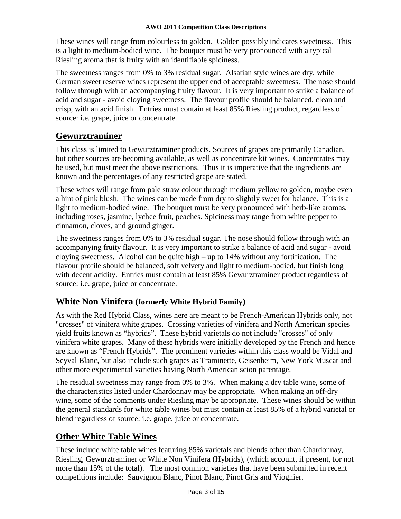These wines will range from colourless to golden. Golden possibly indicates sweetness. This is a light to medium-bodied wine. The bouquet must be very pronounced with a typical Riesling aroma that is fruity with an identifiable spiciness.

The sweetness ranges from 0% to 3% residual sugar. Alsatian style wines are dry, while German sweet reserve wines represent the upper end of acceptable sweetness. The nose should follow through with an accompanying fruity flavour. It is very important to strike a balance of acid and sugar - avoid cloying sweetness. The flavour profile should be balanced, clean and crisp, with an acid finish. Entries must contain at least 85% Riesling product, regardless of source: i.e. grape, juice or concentrate.

#### **Gewurztraminer**

This class is limited to Gewurztraminer products. Sources of grapes are primarily Canadian, but other sources are becoming available, as well as concentrate kit wines. Concentrates may be used, but must meet the above restrictions. Thus it is imperative that the ingredients are known and the percentages of any restricted grape are stated.

These wines will range from pale straw colour through medium yellow to golden, maybe even a hint of pink blush. The wines can be made from dry to slightly sweet for balance. This is a light to medium-bodied wine. The bouquet must be very pronounced with herb-like aromas, including roses, jasmine, lychee fruit, peaches. Spiciness may range from white pepper to cinnamon, cloves, and ground ginger.

The sweetness ranges from 0% to 3% residual sugar. The nose should follow through with an accompanying fruity flavour. It is very important to strike a balance of acid and sugar - avoid cloying sweetness. Alcohol can be quite high – up to 14% without any fortification. The flavour profile should be balanced, soft velvety and light to medium-bodied, but finish long with decent acidity. Entries must contain at least 85% Gewurztraminer product regardless of source: i.e. grape, juice or concentrate.

#### **White Non Vinifera (formerly White Hybrid Family)**

As with the Red Hybrid Class, wines here are meant to be French-American Hybrids only, not "crosses" of vinifera white grapes. Crossing varieties of vinifera and North American species yield fruits known as "hybrids". These hybrid varietals do not include "crosses" of only vinifera white grapes. Many of these hybrids were initially developed by the French and hence are known as "French Hybrids". The prominent varieties within this class would be Vidal and Seyval Blanc, but also include such grapes as Traminette, Geisenheim, New York Muscat and other more experimental varieties having North American scion parentage.

The residual sweetness may range from 0% to 3%. When making a dry table wine, some of the characteristics listed under Chardonnay may be appropriate. When making an off-dry wine, some of the comments under Riesling may be appropriate. These wines should be within the general standards for white table wines but must contain at least 85% of a hybrid varietal or blend regardless of source: i.e. grape, juice or concentrate.

#### **Other White Table Wines**

These include white table wines featuring 85% varietals and blends other than Chardonnay, Riesling, Gewurztraminer or White Non Vinifera (Hybrids), (which account, if present, for not more than 15% of the total). The most common varieties that have been submitted in recent competitions include: Sauvignon Blanc, Pinot Blanc, Pinot Gris and Viognier.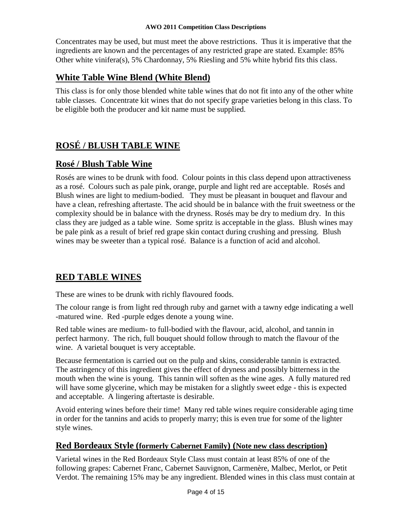Concentrates may be used, but must meet the above restrictions. Thus it is imperative that the ingredients are known and the percentages of any restricted grape are stated. Example: 85% Other white vinifera(s), 5% Chardonnay, 5% Riesling and 5% white hybrid fits this class.

#### **White Table Wine Blend (White Blend)**

This class is for only those blended white table wines that do not fit into any of the other white table classes. Concentrate kit wines that do not specify grape varieties belong in this class. To be eligible both the producer and kit name must be supplied.

# **ROSÉ / BLUSH TABLE WINE**

#### **Rosé / Blush Table Wine**

Rosés are wines to be drunk with food. Colour points in this class depend upon attractiveness as a rosé. Colours such as pale pink, orange, purple and light red are acceptable. Rosés and Blush wines are light to medium-bodied. They must be pleasant in bouquet and flavour and have a clean, refreshing aftertaste. The acid should be in balance with the fruit sweetness or the complexity should be in balance with the dryness. Rosés may be dry to medium dry. In this class they are judged as a table wine. Some spritz is acceptable in the glass. Blush wines may be pale pink as a result of brief red grape skin contact during crushing and pressing. Blush wines may be sweeter than a typical rosé. Balance is a function of acid and alcohol.

### **RED TABLE WINES**

These are wines to be drunk with richly flavoured foods.

The colour range is from light red through ruby and garnet with a tawny edge indicating a well -matured wine. Red -purple edges denote a young wine.

Red table wines are medium- to full-bodied with the flavour, acid, alcohol, and tannin in perfect harmony. The rich, full bouquet should follow through to match the flavour of the wine. A varietal bouquet is very acceptable.

Because fermentation is carried out on the pulp and skins, considerable tannin is extracted. The astringency of this ingredient gives the effect of dryness and possibly bitterness in the mouth when the wine is young. This tannin will soften as the wine ages. A fully matured red will have some glycerine, which may be mistaken for a slightly sweet edge - this is expected and acceptable. A lingering aftertaste is desirable.

Avoid entering wines before their time! Many red table wines require considerable aging time in order for the tannins and acids to properly marry; this is even true for some of the lighter style wines.

#### **Red Bordeaux Style (formerly Cabernet Family) (Note new class description)**

Varietal wines in the Red Bordeaux Style Class must contain at least 85% of one of the following grapes: Cabernet Franc, Cabernet Sauvignon, Carmenère, Malbec, Merlot, or Petit Verdot. The remaining 15% may be any ingredient. Blended wines in this class must contain at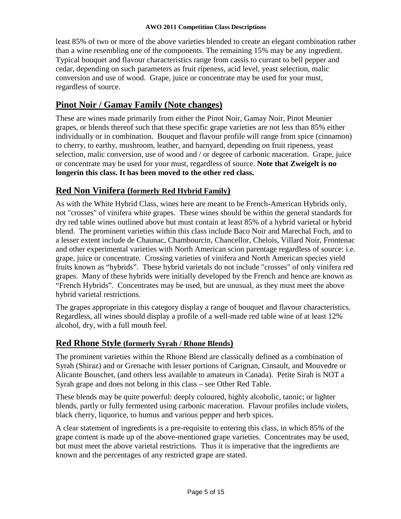least 85% of two or more of the above varieties blended to create an elegant combination rather than a wine resembling one of the components. The remaining 15% may be any ingredient. Typical bouquet and flavour characteristics range from cassis to currant to bell pepper and cedar, depending on such parameters as fruit ripeness, acid level, yeast selection, malic conversion and use of wood. Grape, juice or concentrate may be used for your must, regardless of source.

#### **Pinot Noir / Gamay Family (Note changes)**

These are wines made primarily from either the Pinot Noir, Gamay Noir, Pinot Meunier grapes, or blends thereof such that these specific grape varieties are not less than 85% either individually or in combination. Bouquet and flavour profile will range from spice (cinnamon) to cherry, to earthy, mushroom, leather, and barnyard, depending on fruit ripeness, yeast selection, malic conversion, use of wood and / or degree of carbonic maceration. Grape, juice or concentrate may be used for your must, regardless of source. **Note that Zweigelt is no longerin this class. It has been moved to the other red class.**

#### **Red Non Vinifera (formerly Red Hybrid Family)**

As with the White Hybrid Class, wines here are meant to be French-American Hybrids only, not "crosses" of vinifera white grapes. These wines should be within the general standards for dry red table wines outlined above but must contain at least 85% of a hybrid varietal or hybrid blend. The prominent varieties within this class include Baco Noir and Marechal Foch, and to a lesser extent include de Chaunac, Chambourcin, Chancellor, Chelois, Villard Noir, Frontenac and other experimental varieties with North American scion parentage regardless of source: i.e. grape, juice or concentrate. Crossing varieties of vinifera and North American species yield fruits known as "hybrids". These hybrid varietals do not include "crosses" of only vinifera red grapes. Many of these hybrids were initially developed by the French and hence are known as "French Hybrids". Concentrates may be used, but are unusual, as they must meet the above hybrid varietal restrictions.

The grapes appropriate in this category display a range of bouquet and flavour characteristics. Regardless, all wines should display a profile of a well-made red table wine of at least 12% alcohol, dry, with a full mouth feel.

#### **Red Rhone Style (formerly Syrah / Rhone Blends)**

The prominent varieties within the Rhone Blend are classically defined as a combination of Syrah (Shiraz) and or Grenache with lesser portions of Carignan, Cinsault, and Mouvedre or Alicante Bouschet, (and others less available to amateurs in Canada). Petite Sirah is NOT a Syrah grape and does not belong in this class – see Other Red Table.

These blends may be quite powerful: deeply coloured, highly alcoholic, tannic; or lighter blends, partly or fully fermented using carbonic maceration. Flavour profiles include violets, black cherry, liquorice, to humus and various pepper and herb spices.

A clear statement of ingredients is a pre-requisite to entering this class, in which 85% of the grape content is made up of the above-mentioned grape varieties. Concentrates may be used, but must meet the above varietal restrictions. Thus it is imperative that the ingredients are known and the percentages of any restricted grape are stated.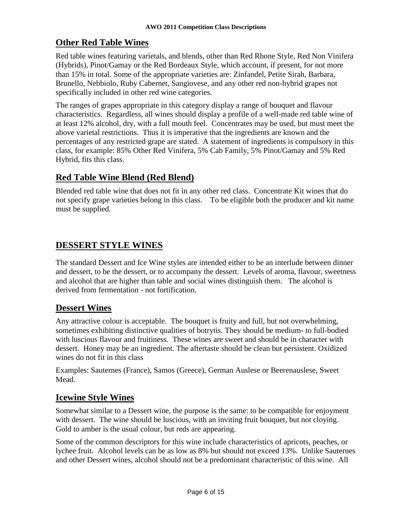#### **Other Red Table Wines**

Red table wines featuring varietals, and blends, other than Red Rhone Style, Red Non Vinifera (Hybrids), Pinot/Gamay or the Red Bordeaux Style, which account, if present, for not more than 15% in total. Some of the appropriate varieties are: Zinfandel, Petite Sirah, Barbara, Brunello, Nebbiolo, Ruby Cabernet, Sangiovese, and any other red non-hybrid grapes not specifically included in other red wine categories.

The ranges of grapes appropriate in this category display a range of bouquet and flavour characteristics. Regardless, all wines should display a profile of a well-made red table wine of at least 12% alcohol, dry, with a full mouth feel. Concentrates may be used, but must meet the above varietal restrictions. Thus it is imperative that the ingredients are known and the percentages of any restricted grape are stated. A statement of ingredients is compulsory in this class, for example: 85% Other Red Vinifera, 5% Cab Family, 5% Pinot/Gamay and 5% Red Hybrid, fits this class.

#### **Red Table Wine Blend (Red Blend)**

Blended red table wine that does not fit in any other red class. Concentrate Kit wines that do not specify grape varieties belong in this class. To be eligible both the producer and kit name must be supplied.

### **DESSERT STYLE WINES**

The standard Dessert and Ice Wine styles are intended either to be an interlude between dinner and dessert, to be the dessert, or to accompany the dessert. Levels of aroma, flavour, sweetness and alcohol that are higher than table and social wines distinguish them. The alcohol is derived from fermentation - not fortification.

#### **Dessert Wines**

Any attractive colour is acceptable. The bouquet is fruity and full, but not overwhelming, sometimes exhibiting distinctive qualities of botrytis. They should be medium- to full-bodied with luscious flavour and fruitiness. These wines are sweet and should be in character with dessert. Honey may be an ingredient. The aftertaste should be clean but persistent. Oxidized wines do not fit in this class

Examples: Sauternes (France), Samos (Greece), German Auslese or Beerenauslese, Sweet Mead.

#### **Icewine Style Wines**

Somewhat similar to a Dessert wine, the purpose is the same: to be compatible for enjoyment with dessert. The wine should be luscious, with an inviting fruit bouquet, but not cloying. Gold to amber is the usual colour, but reds are appearing.

Some of the common descriptors for this wine include characteristics of apricots, peaches, or lychee fruit. Alcohol levels can be as low as 8% but should not exceed 13%. Unlike Sauternes and other Dessert wines, alcohol should not be a predominant characteristic of this wine. All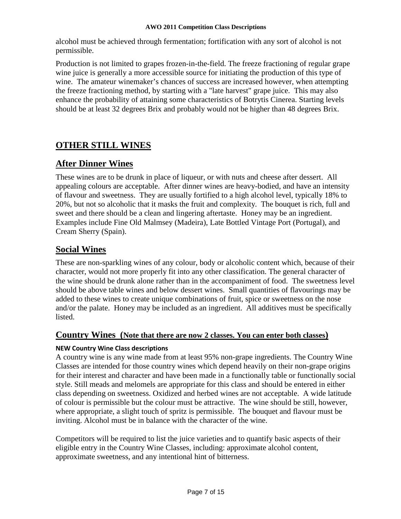alcohol must be achieved through fermentation; fortification with any sort of alcohol is not permissible.

Production is not limited to grapes frozen-in-the-field. The freeze fractioning of regular grape wine juice is generally a more accessible source for initiating the production of this type of wine. The amateur winemaker's chances of success are increased however, when attempting the freeze fractioning method, by starting with a "late harvest" grape juice. This may also enhance the probability of attaining some characteristics of Botrytis Cinerea. Starting levels should be at least 32 degrees Brix and probably would not be higher than 48 degrees Brix.

# **OTHER STILL WINES**

### **After Dinner Wines**

These wines are to be drunk in place of liqueur, or with nuts and cheese after dessert. All appealing colours are acceptable. After dinner wines are heavy-bodied, and have an intensity of flavour and sweetness. They are usually fortified to a high alcohol level, typically 18% to 20%, but not so alcoholic that it masks the fruit and complexity. The bouquet is rich, full and sweet and there should be a clean and lingering aftertaste. Honey may be an ingredient. Examples include Fine Old Malmsey (Madeira), Late Bottled Vintage Port (Portugal), and Cream Sherry (Spain).

#### **Social Wines**

These are non-sparkling wines of any colour, body or alcoholic content which, because of their character, would not more properly fit into any other classification. The general character of the wine should be drunk alone rather than in the accompaniment of food. The sweetness level should be above table wines and below dessert wines. Small quantities of flavourings may be added to these wines to create unique combinations of fruit, spice or sweetness on the nose and/or the palate. Honey may be included as an ingredient. All additives must be specifically listed.

#### **Country Wines (Note that there are now 2 classes. You can enter both classes)**

#### **NEW Country Wine Class descriptions**

A country wine is any wine made from at least 95% non-grape ingredients. The Country Wine Classes are intended for those country wines which depend heavily on their non-grape origins for their interest and character and have been made in a functionally table or functionally social style. Still meads and melomels are appropriate for this class and should be entered in either class depending on sweetness. Oxidized and herbed wines are not acceptable. A wide latitude of colour is permissible but the colour must be attractive. The wine should be still, however, where appropriate, a slight touch of spritz is permissible. The bouquet and flavour must be inviting. Alcohol must be in balance with the character of the wine.

Competitors will be required to list the juice varieties and to quantify basic aspects of their eligible entry in the Country Wine Classes, including: approximate alcohol content, approximate sweetness, and any intentional hint of bitterness.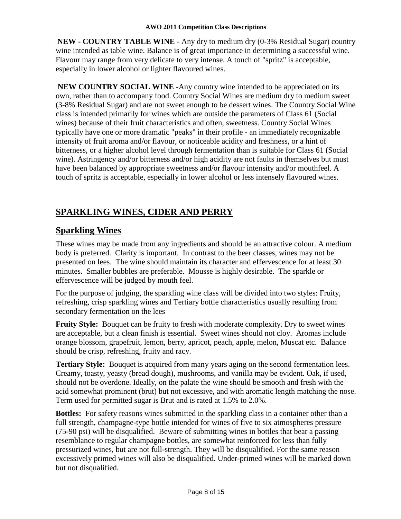**NEW - COUNTRY TABLE WINE** - Any dry to medium dry (0-3% Residual Sugar) country wine intended as table wine. Balance is of great importance in determining a successful wine. Flavour may range from very delicate to very intense. A touch of "spritz" is acceptable, especially in lower alcohol or lighter flavoured wines.

**NEW COUNTRY SOCIAL WINE** -Any country wine intended to be appreciated on its own, rather than to accompany food. Country Social Wines are medium dry to medium sweet (3-8% Residual Sugar) and are not sweet enough to be dessert wines. The Country Social Wine class is intended primarily for wines which are outside the parameters of Class 61 (Social wines) because of their fruit characteristics and often, sweetness. Country Social Wines typically have one or more dramatic "peaks" in their profile - an immediately recognizable intensity of fruit aroma and/or flavour, or noticeable acidity and freshness, or a hint of bitterness, or a higher alcohol level through fermentation than is suitable for Class 61 (Social wine). Astringency and/or bitterness and/or high acidity are not faults in themselves but must have been balanced by appropriate sweetness and/or flavour intensity and/or mouthfeel. A touch of spritz is acceptable, especially in lower alcohol or less intensely flavoured wines.

# **SPARKLING WINES, CIDER AND PERRY**

#### **Sparkling Wines**

These wines may be made from any ingredients and should be an attractive colour. A medium body is preferred. Clarity is important. In contrast to the beer classes, wines may not be presented on lees. The wine should maintain its character and effervescence for at least 30 minutes. Smaller bubbles are preferable. Mousse is highly desirable. The sparkle or effervescence will be judged by mouth feel.

For the purpose of judging, the sparkling wine class will be divided into two styles: Fruity, refreshing, crisp sparkling wines and Tertiary bottle characteristics usually resulting from secondary fermentation on the lees

**Fruity Style:** Bouquet can be fruity to fresh with moderate complexity. Dry to sweet wines are acceptable, but a clean finish is essential. Sweet wines should not cloy. Aromas include orange blossom, grapefruit, lemon, berry, apricot, peach, apple, melon, Muscat etc. Balance should be crisp, refreshing, fruity and racy.

**Tertiary Style:** Bouquet is acquired from many years aging on the second fermentation lees. Creamy, toasty, yeasty (bread dough), mushrooms, and vanilla may be evident. Oak, if used, should not be overdone. Ideally, on the palate the wine should be smooth and fresh with the acid somewhat prominent (brut) but not excessive, and with aromatic length matching the nose. Term used for permitted sugar is Brut and is rated at 1.5% to 2.0%.

**Bottles:** For safety reasons wines submitted in the sparkling class in a container other than a full strength, champagne-type bottle intended for wines of five to six atmospheres pressure (75-90 psi) will be disqualified. Beware of submitting wines in bottles that bear a passing resemblance to regular champagne bottles, are somewhat reinforced for less than fully pressurized wines, but are not full-strength. They will be disqualified. For the same reason excessively primed wines will also be disqualified. Under-primed wines will be marked down but not disqualified.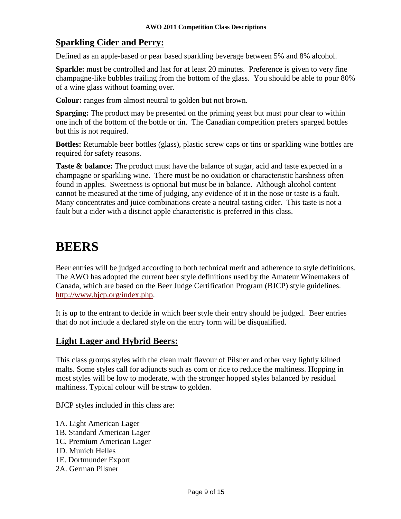#### **Sparkling Cider and Perry:**

Defined as an apple-based or pear based sparkling beverage between 5% and 8% alcohol.

**Sparkle:** must be controlled and last for at least 20 minutes. Preference is given to very fine champagne-like bubbles trailing from the bottom of the glass. You should be able to pour 80% of a wine glass without foaming over.

**Colour:** ranges from almost neutral to golden but not brown.

**Sparging:** The product may be presented on the priming yeast but must pour clear to within one inch of the bottom of the bottle or tin. The Canadian competition prefers sparged bottles but this is not required.

**Bottles:** Returnable beer bottles (glass), plastic screw caps or tins or sparkling wine bottles are required for safety reasons.

**Taste & balance:** The product must have the balance of sugar, acid and taste expected in a champagne or sparkling wine. There must be no oxidation or characteristic harshness often found in apples. Sweetness is optional but must be in balance. Although alcohol content cannot be measured at the time of judging, any evidence of it in the nose or taste is a fault. Many concentrates and juice combinations create a neutral tasting cider. This taste is not a fault but a cider with a distinct apple characteristic is preferred in this class.

# **BEERS**

Beer entries will be judged according to both technical merit and adherence to style definitions. The AWO has adopted the current beer style definitions used by the Amateur Winemakers of Canada, which are based on the Beer Judge Certification Program (BJCP) style guidelines. [http://www.bjcp.org/index.php.](http://www.bjcp.org/index.php)

It is up to the entrant to decide in which beer style their entry should be judged. Beer entries that do not include a declared style on the entry form will be disqualified.

#### **Light Lager and Hybrid Beers:**

This class groups styles with the clean malt flavour of Pilsner and other very lightly kilned malts. Some styles call for adjuncts such as corn or rice to reduce the maltiness. Hopping in most styles will be low to moderate, with the stronger hopped styles balanced by residual maltiness. Typical colour will be straw to golden.

BJCP styles included in this class are:

- 1A. Light American Lager
- 1B. Standard American Lager
- 1C. Premium American Lager
- 1D. Munich Helles
- 1E. Dortmunder Export
- 2A. German Pilsner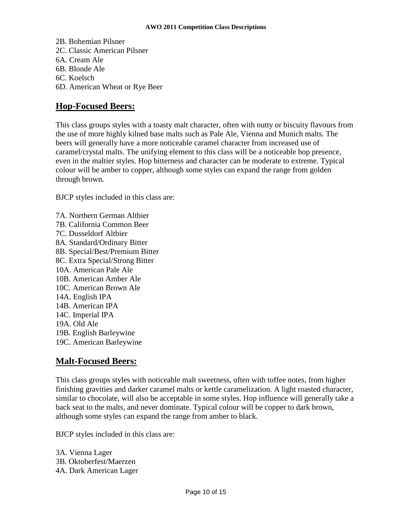2B. Bohemian Pilsner 2C. Classic American Pilsner 6A. Cream Ale 6B. Blonde Ale 6C. Koelsch 6D. American Wheat or Rye Beer

#### **Hop-Focused Beers:**

This class groups styles with a toasty malt character, often with nutty or biscuity flavours from the use of more highly kilned base malts such as Pale Ale, Vienna and Munich malts. The beers will generally have a more noticeable caramel character from increased use of caramel/crystal malts. The unifying element to this class will be a noticeable hop presence, even in the maltier styles. Hop bitterness and character can be moderate to extreme. Typical colour will be amber to copper, although some styles can expand the range from golden through brown.

BJCP styles included in this class are:

7A. Northern German Altbier 7B. California Common Beer 7C. Dusseldorf Altbier 8A. Standard/Ordinary Bitter 8B. Special/Best/Premium Bitter 8C. Extra Special/Strong Bitter 10A. American Pale Ale 10B. American Amber Ale 10C. American Brown Ale 14A. English IPA 14B. American IPA 14C. Imperial IPA 19A. Old Ale 19B. English Barleywine 19C. American Barleywine

#### **Malt-Focused Beers:**

This class groups styles with noticeable malt sweetness, often with toffee notes, from higher finishing gravities and darker caramel malts or kettle caramelization. A light roasted character, similar to chocolate, will also be acceptable in some styles. Hop influence will generally take a back seat to the malts, and never dominate. Typical colour will be copper to dark brown, although some styles can expand the range from amber to black.

BJCP styles included in this class are:

3A. Vienna Lager 3B. Oktoberfest/Maerzen 4A. Dark American Lager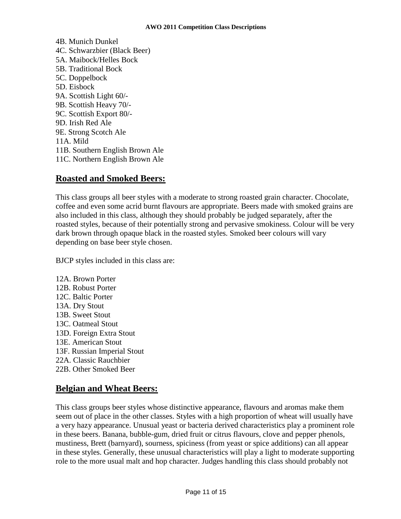4B. Munich Dunkel 4C. Schwarzbier (Black Beer) 5A. Maibock/Helles Bock 5B. Traditional Bock 5C. Doppelbock 5D. Eisbock 9A. Scottish Light 60/- 9B. Scottish Heavy 70/- 9C. Scottish Export 80/- 9D. Irish Red Ale 9E. Strong Scotch Ale 11A. Mild 11B. Southern English Brown Ale 11C. Northern English Brown Ale

#### **Roasted and Smoked Beers:**

This class groups all beer styles with a moderate to strong roasted grain character. Chocolate, coffee and even some acrid burnt flavours are appropriate. Beers made with smoked grains are also included in this class, although they should probably be judged separately, after the roasted styles, because of their potentially strong and pervasive smokiness. Colour will be very dark brown through opaque black in the roasted styles. Smoked beer colours will vary depending on base beer style chosen.

BJCP styles included in this class are:

12A. Brown Porter 12B. Robust Porter 12C. Baltic Porter 13A. Dry Stout 13B. Sweet Stout 13C. Oatmeal Stout 13D. Foreign Extra Stout 13E. American Stout 13F. Russian Imperial Stout 22A. Classic Rauchbier 22B. Other Smoked Beer

#### **Belgian and Wheat Beers:**

This class groups beer styles whose distinctive appearance, flavours and aromas make them seem out of place in the other classes. Styles with a high proportion of wheat will usually have a very hazy appearance. Unusual yeast or bacteria derived characteristics play a prominent role in these beers. Banana, bubble-gum, dried fruit or citrus flavours, clove and pepper phenols, mustiness, Brett (barnyard), sourness, spiciness (from yeast or spice additions) can all appear in these styles. Generally, these unusual characteristics will play a light to moderate supporting role to the more usual malt and hop character. Judges handling this class should probably not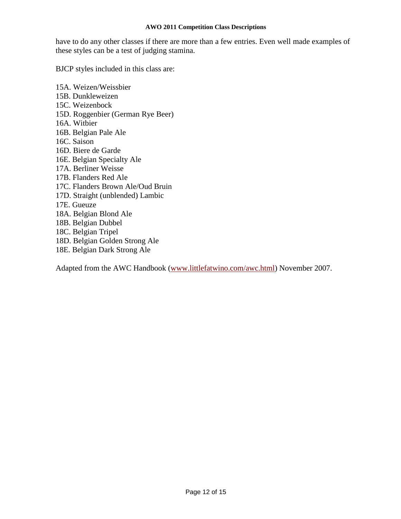have to do any other classes if there are more than a few entries. Even well made examples of these styles can be a test of judging stamina.

BJCP styles included in this class are:

15A. Weizen/Weissbier 15B. Dunkleweizen 15C. Weizenbock 15D. Roggenbier (German Rye Beer) 16A. Witbier 16B. Belgian Pale Ale 16C. Saison 16D. Biere de Garde 16E. Belgian Specialty Ale 17A. Berliner Weisse 17B. Flanders Red Ale 17C. Flanders Brown Ale/Oud Bruin 17D. Straight (unblended) Lambic 17E. Gueuze 18A. Belgian Blond Ale 18B. Belgian Dubbel 18C. Belgian Tripel 18D. Belgian Golden Strong Ale 18E. Belgian Dark Strong Ale

Adapted from the AWC Handbook [\(www.littlefatwino.com/awc.html\)](http://www.littlefatwino.com/awc.html) November 2007.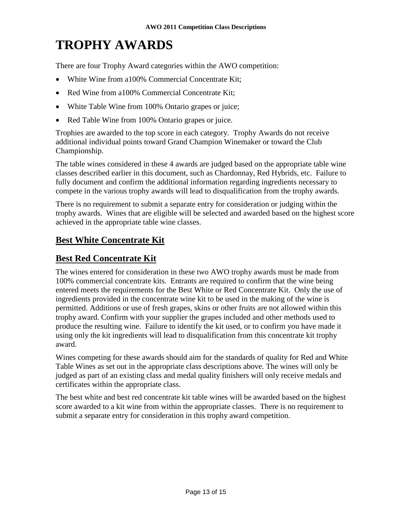# **TROPHY AWARDS**

There are four Trophy Award categories within the AWO competition:

- White Wine from a100% Commercial Concentrate Kit;
- Red Wine from a100% Commercial Concentrate Kit;
- White Table Wine from 100% Ontario grapes or juice;
- Red Table Wine from 100% Ontario grapes or juice.

Trophies are awarded to the top score in each category. Trophy Awards do not receive additional individual points toward Grand Champion Winemaker or toward the Club Championship.

The table wines considered in these 4 awards are judged based on the appropriate table wine classes described earlier in this document, such as Chardonnay, Red Hybrids, etc. Failure to fully document and confirm the additional information regarding ingredients necessary to compete in the various trophy awards will lead to disqualification from the trophy awards.

There is no requirement to submit a separate entry for consideration or judging within the trophy awards. Wines that are eligible will be selected and awarded based on the highest score achieved in the appropriate table wine classes.

#### **Best White Concentrate Kit**

#### **Best Red Concentrate Kit**

The wines entered for consideration in these two AWO trophy awards must be made from 100% commercial concentrate kits. Entrants are required to confirm that the wine being entered meets the requirements for the Best White or Red Concentrate Kit. Only the use of ingredients provided in the concentrate wine kit to be used in the making of the wine is permitted. Additions or use of fresh grapes, skins or other fruits are not allowed within this trophy award. Confirm with your supplier the grapes included and other methods used to produce the resulting wine. Failure to identify the kit used, or to confirm you have made it using only the kit ingredients will lead to disqualification from this concentrate kit trophy award.

Wines competing for these awards should aim for the standards of quality for Red and White Table Wines as set out in the appropriate class descriptions above. The wines will only be judged as part of an existing class and medal quality finishers will only receive medals and certificates within the appropriate class.

The best white and best red concentrate kit table wines will be awarded based on the highest score awarded to a kit wine from within the appropriate classes. There is no requirement to submit a separate entry for consideration in this trophy award competition.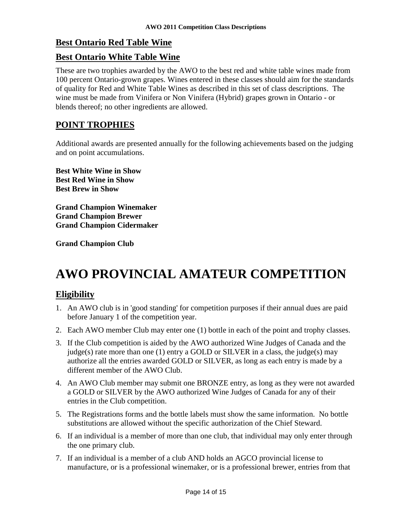#### **Best Ontario Red Table Wine**

#### **Best Ontario White Table Wine**

These are two trophies awarded by the AWO to the best red and white table wines made from 100 percent Ontario-grown grapes. Wines entered in these classes should aim for the standards of quality for Red and White Table Wines as described in this set of class descriptions. The wine must be made from Vinifera or Non Vinifera (Hybrid) grapes grown in Ontario - or blends thereof; no other ingredients are allowed.

#### **POINT TROPHIES**

Additional awards are presented annually for the following achievements based on the judging and on point accumulations.

**Best White Wine in Show Best Red Wine in Show Best Brew in Show** 

**Grand Champion Winemaker Grand Champion Brewer Grand Champion Cidermaker** 

**Grand Champion Club** 

# **AWO PROVINCIAL AMATEUR COMPETITION**

#### **Eligibility**

- 1. An AWO club is in 'good standing' for competition purposes if their annual dues are paid before January 1 of the competition year.
- 2. Each AWO member Club may enter one (1) bottle in each of the point and trophy classes.
- 3. If the Club competition is aided by the AWO authorized Wine Judges of Canada and the judge(s) rate more than one (1) entry a GOLD or SILVER in a class, the judge(s) may authorize all the entries awarded GOLD or SILVER, as long as each entry is made by a different member of the AWO Club.
- 4. An AWO Club member may submit one BRONZE entry, as long as they were not awarded a GOLD or SILVER by the AWO authorized Wine Judges of Canada for any of their entries in the Club competition.
- 5. The Registrations forms and the bottle labels must show the same information. No bottle substitutions are allowed without the specific authorization of the Chief Steward.
- 6. If an individual is a member of more than one club, that individual may only enter through the one primary club.
- 7. If an individual is a member of a club AND holds an AGCO provincial license to manufacture, or is a professional winemaker, or is a professional brewer, entries from that